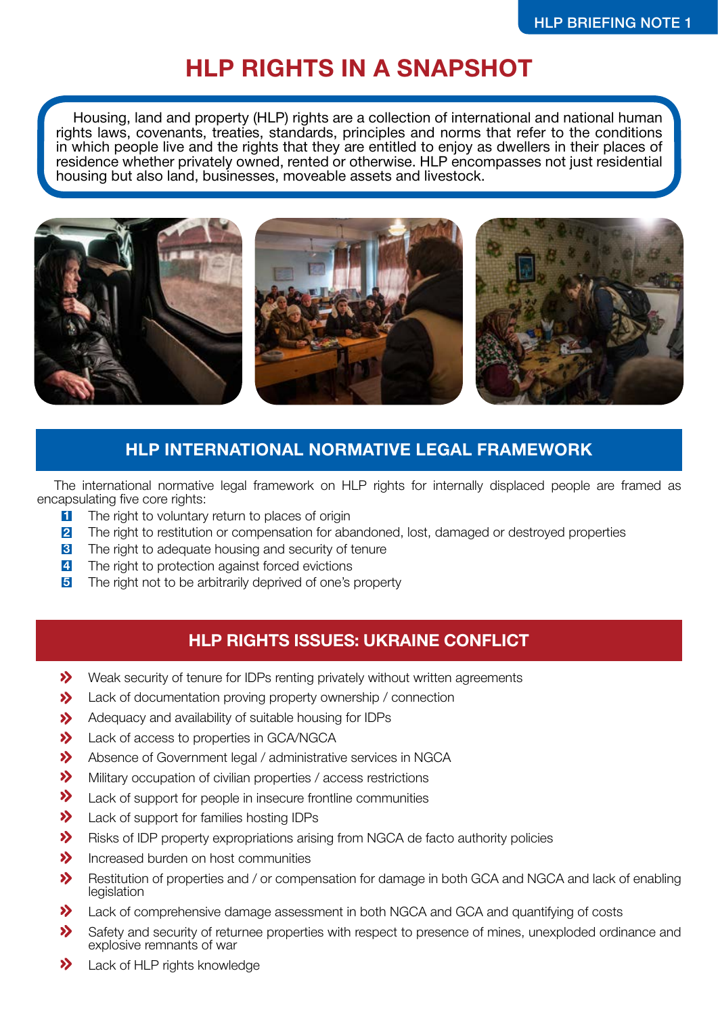# **HLP RIGHTS IN A SNAPSHOT**

Housing, land and property (HLP) rights are a collection of international and national human rights laws, covenants, treaties, standards, principles and norms that refer to the conditions in which people live and the rights that they are entitled to enjoy as dwellers in their places of residence whether privately owned, rented or otherwise. HLP encompasses not just residential housing but also land, businesses, moveable assets and livestock.



### **HLP INTERNATIONAL NORMATIVE LEGAL FRAMEWORK**

The international normative legal framework on HLP rights for internally displaced people are framed as encapsulating five core rights:

- The right to voluntary return to places of origin **1**
- The right to restitution or compensation for abandoned, lost, damaged or destroyed properties **2**
- The right to adequate housing and security of tenure **3**
- The right to protection against forced evictions **4**
- The right not to be arbitrarily deprived of one's property **5**

### **HLP RIGHTS ISSUES: UKRAINE CONFLICT**

- $\mathbf{v}$ Weak security of tenure for IDPs renting privately without written agreements
- $\mathbf{v}$ Lack of documentation proving property ownership / connection
- $\sum$ Adequacy and availability of suitable housing for IDPs
- $\mathbf{\hat{z}}$ Lack of access to properties in GCA/NGCA
- $\boldsymbol{\Sigma}$ Absence of Government legal / administrative services in NGCA
- $\boldsymbol{\Sigma}$ Military occupation of civilian properties / access restrictions
- $\boldsymbol{\Sigma}$ Lack of support for people in insecure frontline communities
- $\sum$ Lack of support for families hosting IDPs
- $\blacktriangleright$ Risks of IDP property expropriations arising from NGCA de facto authority policies
- $\sum$ Increased burden on host communities
- $\sum$ Restitution of properties and / or compensation for damage in both GCA and NGCA and lack of enabling legislation
- $\sum$ Lack of comprehensive damage assessment in both NGCA and GCA and quantifying of costs
- $\sum$ Safety and security of returnee properties with respect to presence of mines, unexploded ordinance and explosive remnants of war
- $\boldsymbol{\Sigma}$ Lack of HLP rights knowledge